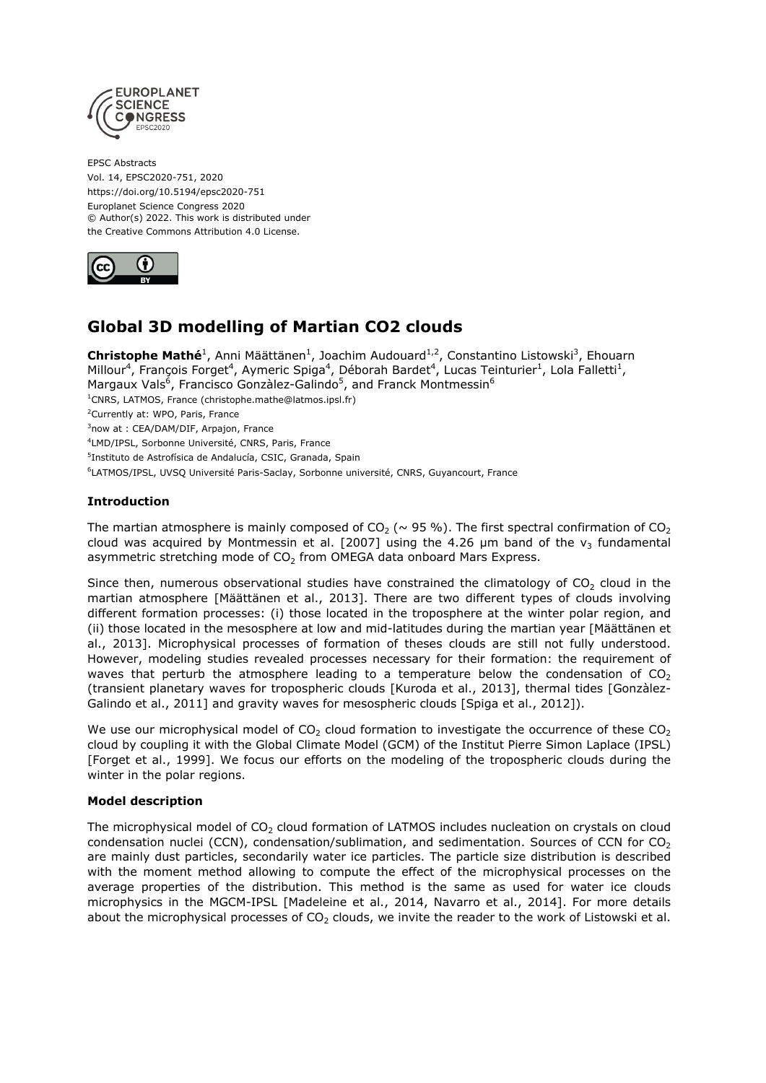

EPSC Abstracts Vol. 14, EPSC2020-751, 2020 https://doi.org/10.5194/epsc2020-751 Europlanet Science Congress 2020 © Author(s) 2022. This work is distributed under the Creative Commons Attribution 4.0 License.



# **Global 3D modelling of Martian CO2 clouds**

**Christophe Mathé**<sup>1</sup>, Anni Määttänen<sup>1</sup>, Joachim Audouard<sup>1,2</sup>, Constantino Listowski<sup>3</sup>, Ehouarn Millour<sup>4</sup>, François Forget<sup>4</sup>, Aymeric Spiga<sup>4</sup>, Déborah Bardet<sup>4</sup>, Lucas Teinturier<sup>1</sup>, Lola Falletti<sup>1</sup>, Margaux Vals<sup>6</sup>, Francisco Gonzàlez-Galindo<sup>5</sup>, and Franck Montmessin<sup>6</sup> <sup>1</sup>CNRS, LATMOS, France (christophe.mathe@latmos.ipsl.fr) <sup>2</sup>Currently at: WPO, Paris, France <sup>3</sup>now at : CEA/DAM/DIF, Arpajon, France 4 LMD/IPSL, Sorbonne Université, CNRS, Paris, France <sup>5</sup>Instituto de Astrofísica de Andalucía, CSIC, Granada, Spain 6 LATMOS/IPSL, UVSQ Université Paris-Saclay, Sorbonne université, CNRS, Guyancourt, France

## **Introduction**

The martian atmosphere is mainly composed of  $CO_2$  ( $\sim$  95 %). The first spectral confirmation of  $CO_2$ cloud was acquired by Montmessin et al. [2007] using the 4.26  $\mu$ m band of the  $v_3$  fundamental asymmetric stretching mode of  $CO<sub>2</sub>$  from OMEGA data onboard Mars Express.

Since then, numerous observational studies have constrained the climatology of  $CO<sub>2</sub>$  cloud in the martian atmosphere [Määttänen et al., 2013]. There are two different types of clouds involving different formation processes: (i) those located in the troposphere at the winter polar region, and (ii) those located in the mesosphere at low and mid-latitudes during the martian year [Määttänen et al., 2013]. Microphysical processes of formation of theses clouds are still not fully understood. However, modeling studies revealed processes necessary for their formation: the requirement of waves that perturb the atmosphere leading to a temperature below the condensation of  $CO<sub>2</sub>$ (transient planetary waves for tropospheric clouds [Kuroda et al., 2013], thermal tides [Gonzàlez-Galindo et al., 2011] and gravity waves for mesospheric clouds [Spiga et al., 2012]).

We use our microphysical model of  $CO<sub>2</sub>$  cloud formation to investigate the occurrence of these  $CO<sub>2</sub>$ cloud by coupling it with the Global Climate Model (GCM) of the Institut Pierre Simon Laplace (IPSL) [Forget et al., 1999]. We focus our efforts on the modeling of the tropospheric clouds during the winter in the polar regions.

### **Model description**

The microphysical model of CO<sub>2</sub> cloud formation of LATMOS includes nucleation on crystals on cloud condensation nuclei (CCN), condensation/sublimation, and sedimentation. Sources of CCN for  $CO<sub>2</sub>$ are mainly dust particles, secondarily water ice particles. The particle size distribution is described with the moment method allowing to compute the effect of the microphysical processes on the average properties of the distribution. This method is the same as used for water ice clouds microphysics in the MGCM-IPSL [Madeleine et al., 2014, Navarro et al., 2014]. For more details about the microphysical processes of  $CO<sub>2</sub>$  clouds, we invite the reader to the work of Listowski et al.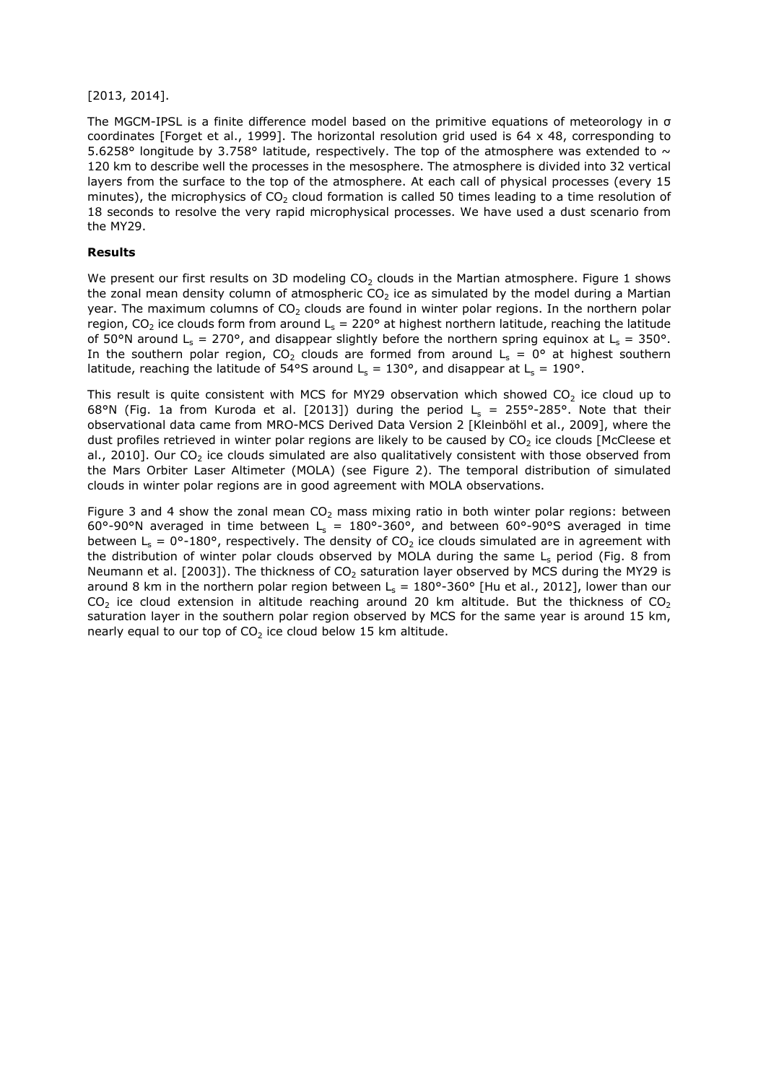#### [2013, 2014].

The MGCM-IPSL is a finite difference model based on the primitive equations of meteorology in σ coordinates [Forget et al., 1999]. The horizontal resolution grid used is 64 x 48, corresponding to 5.6258° longitude by 3.758° latitude, respectively. The top of the atmosphere was extended to  $\sim$ 120 km to describe well the processes in the mesosphere. The atmosphere is divided into 32 vertical layers from the surface to the top of the atmosphere. At each call of physical processes (every 15 minutes), the microphysics of  $CO<sub>2</sub>$  cloud formation is called 50 times leading to a time resolution of 18 seconds to resolve the very rapid microphysical processes. We have used a dust scenario from the MY29.

#### **Results**

We present our first results on 3D modeling  $CO<sub>2</sub>$  clouds in the Martian atmosphere. Figure 1 shows the zonal mean density column of atmospheric  $CO<sub>2</sub>$  ice as simulated by the model during a Martian year. The maximum columns of  $CO<sub>2</sub>$  clouds are found in winter polar regions. In the northern polar region, CO<sub>2</sub> ice clouds form from around L<sub>s</sub> = 220° at highest northern latitude, reaching the latitude of 50°N around  $L_s = 270$ °, and disappear slightly before the northern spring equinox at  $L_s = 350$ °. In the southern polar region, CO<sub>2</sub> clouds are formed from around  $L_s = 0^\circ$  at highest southern latitude, reaching the latitude of 54°S around L<sub>s</sub> = 130°, and disappear at L<sub>s</sub> = 190°.

This result is quite consistent with MCS for MY29 observation which showed  $CO<sub>2</sub>$  ice cloud up to 68°N (Fig. 1a from Kuroda et al. [2013]) during the period  $L_s = 255^{\circ}$ -285°. Note that their observational data came from MRO-MCS Derived Data Version 2 [Kleinböhl et al., 2009], where the dust profiles retrieved in winter polar regions are likely to be caused by  $CO<sub>2</sub>$  ice clouds [McCleese et al., 2010]. Our CO<sub>2</sub> ice clouds simulated are also qualitatively consistent with those observed from the Mars Orbiter Laser Altimeter (MOLA) (see Figure 2). The temporal distribution of simulated clouds in winter polar regions are in good agreement with MOLA observations.

Figure 3 and 4 show the zonal mean  $CO<sub>2</sub>$  mass mixing ratio in both winter polar regions: between 60°-90°N averaged in time between  $L_s = 180^\circ$ -360°, and between 60°-90°S averaged in time between L<sub>s</sub> = 0°-180°, respectively. The density of CO<sub>2</sub> ice clouds simulated are in agreement with the distribution of winter polar clouds observed by MOLA during the same  $L_s$  period (Fig. 8 from Neumann et al. [2003]). The thickness of  $CO<sub>2</sub>$  saturation layer observed by MCS during the MY29 is around 8 km in the northern polar region between  $L_s = 180^\circ$ -360° [Hu et al., 2012], lower than our  $CO<sub>2</sub>$  ice cloud extension in altitude reaching around 20 km altitude. But the thickness of  $CO<sub>2</sub>$ saturation layer in the southern polar region observed by MCS for the same year is around 15 km, nearly equal to our top of  $CO<sub>2</sub>$  ice cloud below 15 km altitude.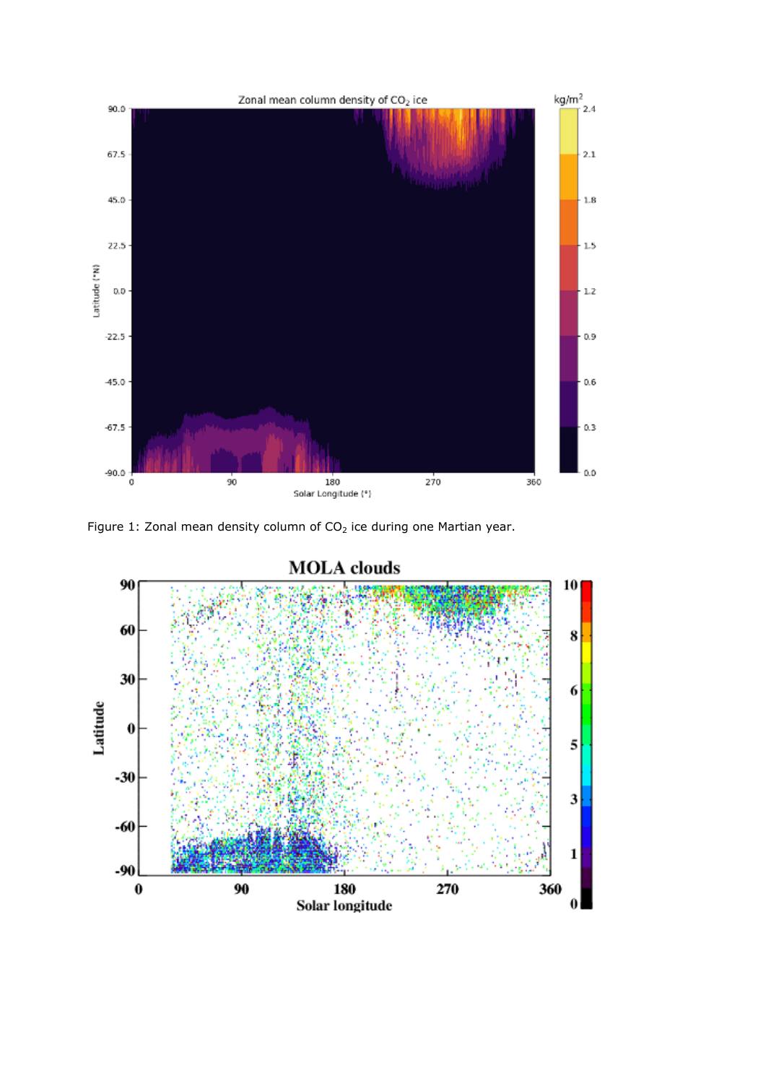

Figure 1: Zonal mean density column of  $CO<sub>2</sub>$  ice during one Martian year.

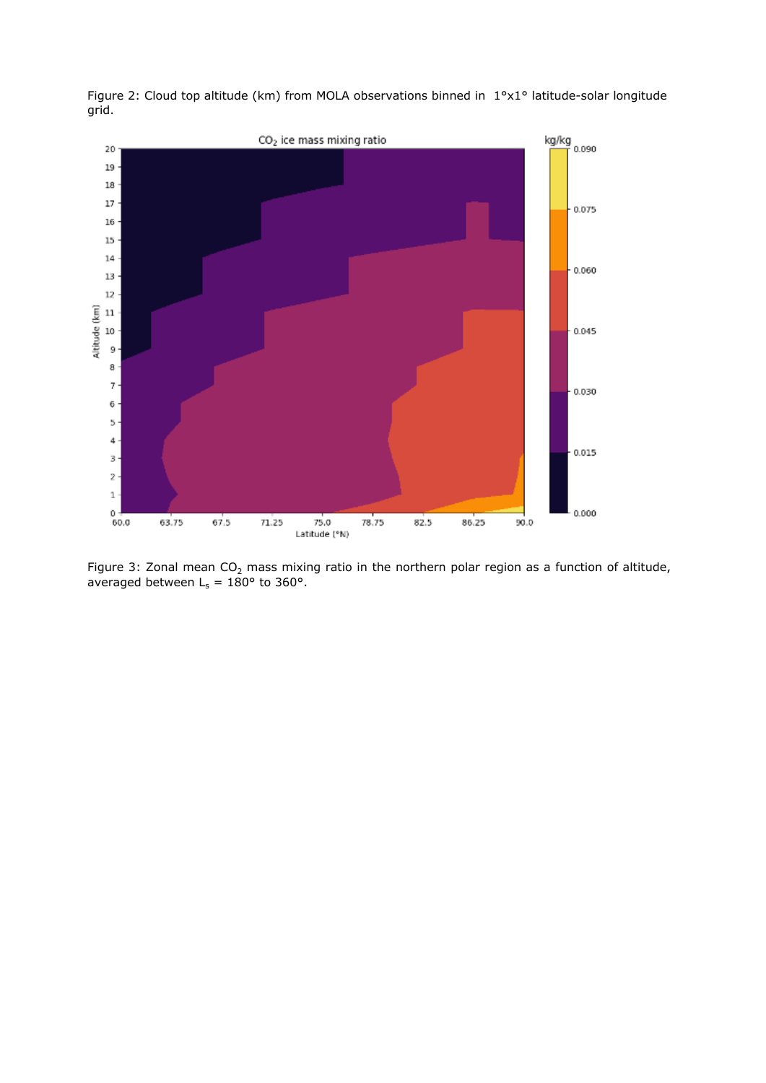

Figure 2: Cloud top altitude (km) from MOLA observations binned in 1°x1° latitude-solar longitude grid.

Figure 3: Zonal mean  $CO<sub>2</sub>$  mass mixing ratio in the northern polar region as a function of altitude, averaged between  $L_s = 180^{\circ}$  to 360°.